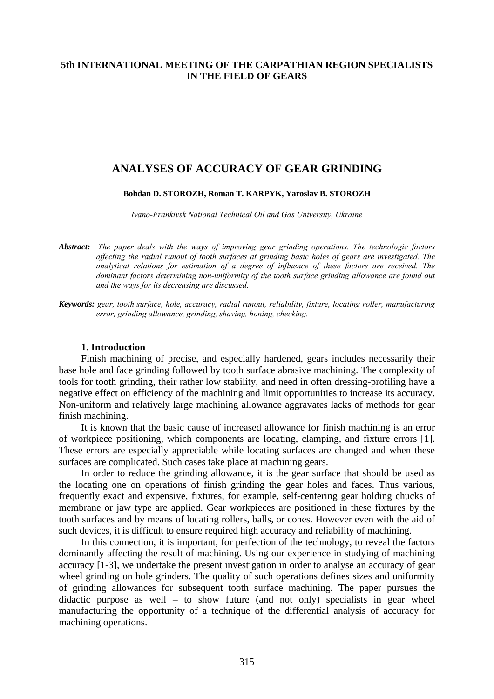## **5th INTERNATIONAL MEETING OF THE CARPATHIAN REGION SPECIALISTS IN THE FIELD OF GEARS**

# **ANALYSES OF ACCURACY OF GEAR GRINDING**

#### **Bohdan D. STOROZH, Roman T. KARPYK, Yaroslav B. STOROZH**

*Ivano-Frankivsk National Technical Oil and Gas University, Ukraine* 

*Abstract: The paper deals with the ways of improving gear grinding operations. The technologic factors affecting the radial runout of tooth surfaces at grinding basic holes of gears are investigated. The analytical relations for estimation of a degree of influence of these factors are received. The dominant factors determining non-uniformity of the tooth surface grinding allowance are found out and the ways for its decreasing are discussed.* 

*Keywords: gear, tooth surface, hole, accuracy, radial runout, reliability, fixture, locating roller, manufacturing error, grinding allowance, grinding, shaving, honing, checking.* 

#### **1. Introduction**

Finish machining of precise, and especially hardened, gears includes necessarily their base hole and face grinding followed by tooth surface abrasive machining. The complexity of tools for tooth grinding, their rather low stability, and need in often dressing-profiling have a negative effect on efficiency of the machining and limit opportunities to increase its accuracy. Non-uniform and relatively large machining allowance aggravates lacks of methods for gear finish machining.

It is known that the basic cause of increased allowance for finish machining is an error of workpiece positioning, which components are locating, clamping, and fixture errors [1]. These errors are especially appreciable while locating surfaces are changed and when these surfaces are complicated. Such cases take place at machining gears.

In order to reduce the grinding allowance, it is the gear surface that should be used as the locating one on operations of finish grinding the gear holes and faces. Thus various, frequently exact and expensive, fixtures, for example, self-centering gear holding chucks of membrane or jaw type are applied. Gear workpieces are positioned in these fixtures by the tooth surfaces and by means of locating rollers, balls, or cones. However even with the aid of such devices, it is difficult to ensure required high accuracy and reliability of machining.

In this connection, it is important, for perfection of the technology, to reveal the factors dominantly affecting the result of machining. Using our experience in studying of machining accuracy [1-3], we undertake the present investigation in order to analyse an accuracy of gear wheel grinding on hole grinders. The quality of such operations defines sizes and uniformity of grinding allowances for subsequent tooth surface machining. The paper pursues the didactic purpose as well – to show future (and not only) specialists in gear wheel manufacturing the opportunity of a technique of the differential analysis of accuracy for machining operations.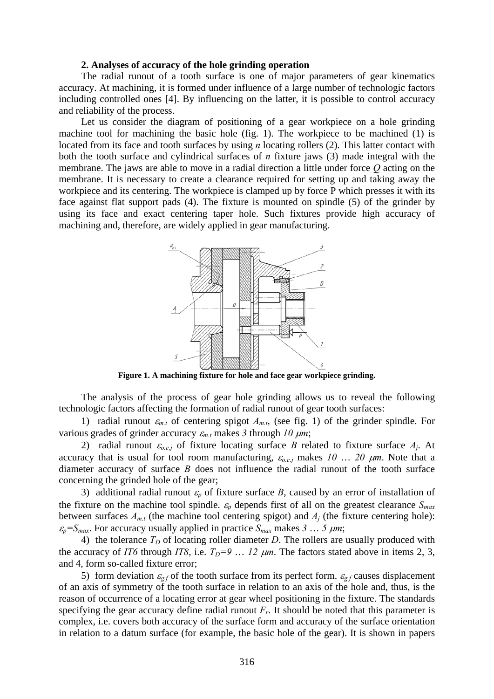#### **2. Analyses of accuracy of the hole grinding operation**

The radial runout of a tooth surface is one of major parameters of gear kinematics accuracy. At machining, it is formed under influence of a large number of technologic factors including controlled ones [4]. By influencing on the latter, it is possible to control accuracy and reliability of the process.

Let us consider the diagram of positioning of a gear workpiece on a hole grinding machine tool for machining the basic hole (fig. 1). The workpiece to be machined (1) is located from its face and tooth surfaces by using *n* locating rollers (2). This latter contact with both the tooth surface and cylindrical surfaces of *n* fixture jaws (3) made integral with the membrane. The jaws are able to move in a radial direction a little under force *Q* acting on the membrane. It is necessary to create a clearance required for setting up and taking away the workpiece and its centering. The workpiece is clamped up by force P which presses it with its face against flat support pads (4). The fixture is mounted on spindle (5) of the grinder by using its face and exact centering taper hole. Such fixtures provide high accuracy of machining and, therefore, are widely applied in gear manufacturing.



**Figure 1. A machining fixture for hole and face gear workpiece grinding.** 

The analysis of the process of gear hole grinding allows us to reveal the following technologic factors affecting the formation of radial runout of gear tooth surfaces:

1) radial runout  $\varepsilon_{m,t}$  of centering spigot  $A_{m,t}$ , (see fig. 1) of the grinder spindle. For various grades of grinder accuracy <sup>ε</sup>*m.t* makes *3* through *10* μ*m*;

2) radial runout  $\varepsilon_{o,c,j}$  of fixture locating surface *B* related to fixture surface  $A_j$ . At accuracy that is usual for tool room manufacturing,  $\varepsilon_{o,c,i}$  makes 10 ... 20  $\mu$ m. Note that a diameter accuracy of surface *B* does not influence the radial runout of the tooth surface concerning the grinded hole of the gear;

3) additional radial runout  $\varepsilon_p$  of fixture surface *B*, caused by an error of installation of the fixture on the machine tool spindle.  $\varepsilon_p$  depends first of all on the greatest clearance  $S_{max}$ between surfaces  $A_{m,t}$  (the machine tool centering spigot) and  $A_i$  (the fixture centering hole):  $\varepsilon_p = S_{max}$ . For accuracy usually applied in practice  $S_{max}$  makes 3 … 5  $\mu$ m;

4) the tolerance  $T_D$  of locating roller diameter *D*. The rollers are usually produced with the accuracy of *IT6* through *IT8*, i.e.  $T_D=9$  ... 12  $\mu$ m. The factors stated above in items 2, 3, and 4, form so-called fixture error;

5) form deviation  $\varepsilon_{g,f}$  of the tooth surface from its perfect form.  $\varepsilon_{g,f}$  causes displacement of an axis of symmetry of the tooth surface in relation to an axis of the hole and, thus, is the reason of occurrence of a locating error at gear wheel positioning in the fixture. The standards specifying the gear accuracy define radial runout  $F_r$ . It should be noted that this parameter is complex, i.e. covers both accuracy of the surface form and accuracy of the surface orientation in relation to a datum surface (for example, the basic hole of the gear). It is shown in papers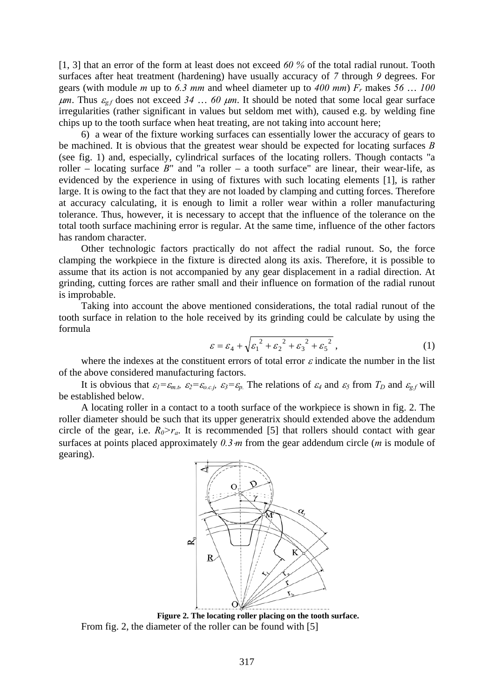[1, 3] that an error of the form at least does not exceed *60 %* of the total radial runout. Tooth surfaces after heat treatment (hardening) have usually accuracy of *7* through *9* degrees. For gears (with module *m* up to *6.3 mm* and wheel diameter up to *400 mm*) *Fr* makes *56* … *100*  $\mu$ m. Thus  $\varepsilon_{g,f}$  does not exceed 34 ... 60  $\mu$ m. It should be noted that some local gear surface irregularities (rather significant in values but seldom met with), caused e.g. by welding fine chips up to the tooth surface when heat treating, are not taking into account here;

6) a wear of the fixture working surfaces can essentially lower the accuracy of gears to be machined. It is obvious that the greatest wear should be expected for locating surfaces *B* (see fig. 1) and, especially, cylindrical surfaces of the locating rollers. Though contacts "a roller – locating surface  $B$ " and "a roller – a tooth surface" are linear, their wear-life, as evidenced by the experience in using of fixtures with such locating elements [1], is rather large. It is owing to the fact that they are not loaded by clamping and cutting forces. Therefore at accuracy calculating, it is enough to limit a roller wear within a roller manufacturing tolerance. Thus, however, it is necessary to accept that the influence of the tolerance on the total tooth surface machining error is regular. At the same time, influence of the other factors has random character.

Other technologic factors practically do not affect the radial runout. So, the force clamping the workpiece in the fixture is directed along its axis. Therefore, it is possible to assume that its action is not accompanied by any gear displacement in a radial direction. At grinding, cutting forces are rather small and their influence on formation of the radial runout is improbable.

Taking into account the above mentioned considerations, the total radial runout of the tooth surface in relation to the hole received by its grinding could be calculate by using the formula

$$
\varepsilon = \varepsilon_4 + \sqrt{\varepsilon_1^2 + \varepsilon_2^2 + \varepsilon_3^2 + \varepsilon_5^2},\tag{1}
$$

where the indexes at the constituent errors of total error  $\varepsilon$  indicate the number in the list of the above considered manufacturing factors.

It is obvious that  $\varepsilon_1 = \varepsilon_{m,t}$ ,  $\varepsilon_2 = \varepsilon_{o,c,i}$ ,  $\varepsilon_3 = \varepsilon_p$ . The relations of  $\varepsilon_4$  and  $\varepsilon_5$  from  $T_D$  and  $\varepsilon_{g,f}$  will be established below.

A locating roller in a contact to a tooth surface of the workpiece is shown in fig. 2. The roller diameter should be such that its upper generatrix should extended above the addendum circle of the gear, i.e.  $R_0 > r_a$ . It is recommended [5] that rollers should contact with gear surfaces at points placed approximately 0.3 *m* from the gear addendum circle (*m* is module of gearing).



**Figure 2. The locating roller placing on the tooth surface.**  From fig. 2, the diameter of the roller can be found with [5]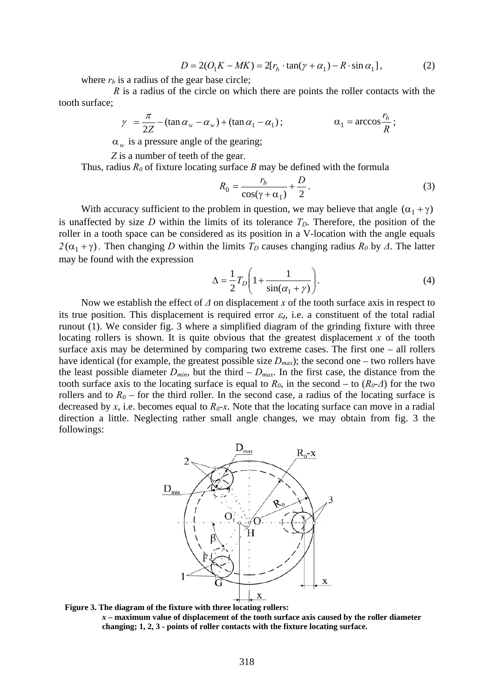$$
D = 2(O1K - MK) = 2[rb \cdot \tan(\gamma + \alpha_1) - R \cdot \sin \alpha_1],
$$
 (2)

where  $r_b$  is a radius of the gear base circle;

 *R* is a radius of the circle on which there are points the roller contacts with the tooth surface;

$$
\gamma = \frac{\pi}{2Z} - (\tan \alpha_w - \alpha_w) + (\tan \alpha_1 - \alpha_1); \qquad \alpha_1 = \arccos \frac{r_b}{R};
$$

 $\alpha_w$  is a pressure angle of the gearing;

*Z* is a number of teeth of the gear.

Thus, radius  $R_0$  of fixture locating surface  $B$  may be defined with the formula

$$
R_0 = \frac{r_b}{\cos(\gamma + \alpha_1)} + \frac{D}{2}.
$$
 (3)

With accuracy sufficient to the problem in question, we may believe that angle  $(\alpha_1 + \gamma)$ is unaffected by size *D* within the limits of its tolerance  $T<sub>D</sub>$ . Therefore, the position of the roller in a tooth space can be considered as its position in a V-location with the angle equals  $2(\alpha_1 + \gamma)$ . Then changing *D* within the limits  $T_D$  causes changing radius  $R_0$  by  $\Delta$ . The latter may be found with the expression

$$
\Delta = \frac{1}{2} T_D \left( 1 + \frac{1}{\sin(\alpha_1 + \gamma)} \right). \tag{4}
$$

Now we establish the effect of  $\Delta$  on displacement x of the tooth surface axis in respect to its true position. This displacement is required error  $\varepsilon_4$ , i.e. a constituent of the total radial runout (1). We consider fig. 3 where a simplified diagram of the grinding fixture with three locating rollers is shown. It is quite obvious that the greatest displacement  $x$  of the tooth surface axis may be determined by comparing two extreme cases. The first one – all rollers have identical (for example, the greatest possible size  $D_{max}$ ); the second one – two rollers have the least possible diameter  $D_{min}$ , but the third  $-D_{max}$ . In the first case, the distance from the tooth surface axis to the locating surface is equal to  $R_0$ , in the second – to  $(R_0-*A*)$  for the two rollers and to  $R_0$  – for the third roller. In the second case, a radius of the locating surface is decreased by *x*, i.e. becomes equal to  $R_0$ -*x*. Note that the locating surface can move in a radial direction a little. Neglecting rather small angle changes, we may obtain from fig. 3 the followings:



**Figure 3. The diagram of the fixture with three locating rollers:** 

*x* **– maximum value of displacement of the tooth surface axis caused by the roller diameter changing; 1, 2, 3 - points of roller contacts with the fixture locating surface.**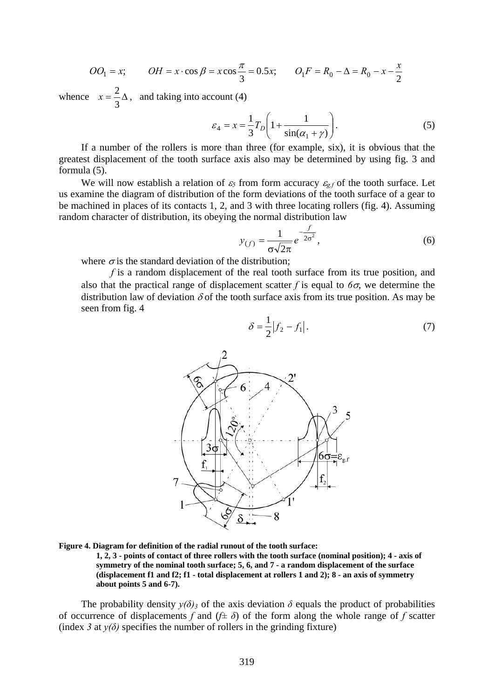$$
OO_1 = x;
$$
  $OH = x \cdot \cos \beta = x \cos \frac{\pi}{3} = 0.5x;$   $O_1F = R_0 - \Delta = R_0 - x - \frac{x}{2}$ 

whence  $x = -\frac{2}{3}\Delta$ 3  $x = \frac{2}{3}\Delta$ , and taking into account (4)

$$
\varepsilon_4 = x = \frac{1}{3} T_D \left( 1 + \frac{1}{\sin(\alpha_1 + \gamma)} \right). \tag{5}
$$

If a number of the rollers is more than three (for example, six), it is obvious that the greatest displacement of the tooth surface axis also may be determined by using fig. 3 and formula (5).

We will now establish a relation of  $\varepsilon_5$  from form accuracy  $\varepsilon_{g,f}$  of the tooth surface. Let us examine the diagram of distribution of the form deviations of the tooth surface of a gear to be machined in places of its contacts 1, 2, and 3 with three locating rollers (fig. 4). Assuming random character of distribution, its obeying the normal distribution law

$$
y_{(f)} = \frac{1}{\sigma\sqrt{2\pi}}e^{-\frac{f}{2\sigma^2}},\tag{6}
$$

where  $\sigma$  is the standard deviation of the distribution:

*f* is a random displacement of the real tooth surface from its true position, and also that the practical range of displacement scatter *f* is equal to  $6\sigma$ , we determine the distribution law of deviation  $\delta$  of the tooth surface axis from its true position. As may be seen from fig. 4

$$
\delta = \frac{1}{2} |f_2 - f_1|.
$$
 (7)



**Figure 4. Diagram for definition of the radial runout of the tooth surface:** 

**1, 2, 3 - points of contact of three rollers with the tooth surface (nominal position); 4 - axis of symmetry of the nominal tooth surface; 5, 6, and 7 - a random displacement of the surface (displacement f1 and f2; f1 - total displacement at rollers 1 and 2); 8 - an axis of symmetry about points 5 and 6-7).** 

The probability density  $y(\delta)$ <sub>3</sub> of the axis deviation  $\delta$  equals the product of probabilities of occurrence of displacements *f* and  $(f \pm \delta)$  of the form along the whole range of *f* scatter (index 3 at  $y(\delta)$  specifies the number of rollers in the grinding fixture)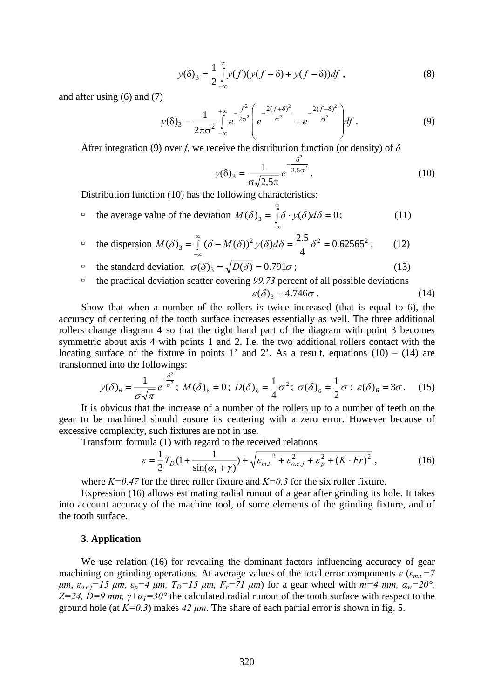$$
y(\delta)_3 = \frac{1}{2} \int_{-\infty}^{\infty} y(f)(y(f+\delta) + y(f-\delta))df,
$$
\n(8)

and after using (6) and (7)

$$
y(\delta)_3 = \frac{1}{2\pi\sigma^2} \int_{-\infty}^{+\infty} e^{-\frac{f^2}{2\sigma^2}} \left( e^{-\frac{2(f+\delta)^2}{\sigma^2}} + e^{-\frac{2(f-\delta)^2}{\sigma^2}} \right) df.
$$
 (9)

After integration (9) over *f*, we receive the distribution function (or density) of *δ*

$$
y(\delta)_3 = \frac{1}{\sigma\sqrt{2.5\pi}} e^{-\frac{\delta^2}{2.5\sigma^2}}.
$$
 (10)

Distribution function (10) has the following characteristics:

**□** the average value of the deviation  $M(\delta)_3 = \int \delta \cdot y(\delta) d\delta = 0;$  (11) ∞ ∞−  $M(\delta)_3 = |\delta \cdot y(\delta)d\delta = 0$ 

$$
\text{the dispersion } M(\delta)_3 = \int_{-\infty}^{\infty} (\delta - M(\delta))^2 y(\delta) d\delta = \frac{2.5}{4} \delta^2 = 0.62565^2 \tag{12}
$$

$$
\Box \quad \text{the standard deviation} \quad \sigma(\delta)_3 = \sqrt{D(\delta)} = 0.791\sigma \tag{13}
$$

à the practical deviation scatter covering *99.73* percent of all possible deviations  $\varepsilon(\delta)_3 = 4.746\sigma$ . (14)

Show that when a number of the rollers is twice increased (that is equal to 6), the accuracy of centering of the tooth surface increases essentially as well. The three additional rollers change diagram 4 so that the right hand part of the diagram with point 3 becomes symmetric about axis 4 with points 1 and 2. I.e. the two additional rollers contact with the locating surface of the fixture in points 1' and 2'. As a result, equations  $(10) - (14)$  are transformed into the followings:

$$
y(\delta)_6 = \frac{1}{\sigma\sqrt{\pi}}e^{-\frac{\delta^2}{\sigma^2}}; M(\delta)_6 = 0; D(\delta)_6 = \frac{1}{4}\sigma^2; \sigma(\delta)_6 = \frac{1}{2}\sigma; \ \varepsilon(\delta)_6 = 3\sigma. \tag{15}
$$

It is obvious that the increase of a number of the rollers up to a number of teeth on the gear to be machined should ensure its centering with a zero error. However because of excessive complexity, such fixtures are not in use.

Transform formula (1) with regard to the received relations

$$
\varepsilon = \frac{1}{3}T_D(1 + \frac{1}{\sin(\alpha_1 + \gamma)}) + \sqrt{\varepsilon_{m.t.}}^2 + \varepsilon_{o.c.j}^2 + \varepsilon_p^2 + (K \cdot Fr)^2,
$$
 (16)

where  $K=0.47$  for the three roller fixture and  $K=0.3$  for the six roller fixture.

Expression (16) allows estimating radial runout of a gear after grinding its hole. It takes into account accuracy of the machine tool, of some elements of the grinding fixture, and of the tooth surface.

#### **3. Application**

We use relation (16) for revealing the dominant factors influencing accuracy of gear machining on grinding operations. At average values of the total error components  $\varepsilon$  ( $\varepsilon_{m,t}$ =7  $μm$ ,  $ε_{o.c.i} = 15 \mu m$ ,  $ε_p = 4 \mu m$ ,  $T_p = 15 \mu m$ ,  $F_r = 71 \mu m$  for a gear wheel with  $m = 4 \mu m$ ,  $α_w = 20^\circ$ , *Z=24, D=9 mm,*  $\gamma$ *+* $\alpha$ *<sub>1</sub>=30°</sub> the calculated radial runout of the tooth surface with respect to the* ground hole (at  $K=0.3$ ) makes  $42 \mu m$ . The share of each partial error is shown in fig. 5.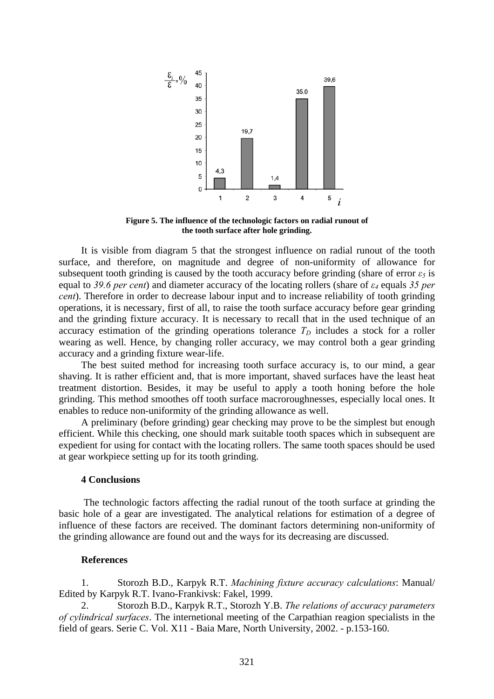

**Figure 5. The influence of the technologic factors on radial runout of the tooth surface after hole grinding.** 

It is visible from diagram 5 that the strongest influence on radial runout of the tooth surface, and therefore, on magnitude and degree of non-uniformity of allowance for subsequent tooth grinding is caused by the tooth accuracy before grinding (share of error  $\varepsilon_5$  is equal to *39.6 per cent*) and diameter accuracy of the locating rollers (share of *ε4* equals *35 per cent*). Therefore in order to decrease labour input and to increase reliability of tooth grinding operations, it is necessary, first of all, to raise the tooth surface accuracy before gear grinding and the grinding fixture accuracy. It is necessary to recall that in the used technique of an accuracy estimation of the grinding operations tolerance  $T<sub>D</sub>$  includes a stock for a roller wearing as well. Hence, by changing roller accuracy, we may control both a gear grinding accuracy and a grinding fixture wear-life.

The best suited method for increasing tooth surface accuracy is, to our mind, a gear shaving. It is rather efficient and, that is more important, shaved surfaces have the least heat treatment distortion. Besides, it may be useful to apply a tooth honing before the hole grinding. This method smoothes off tooth surface macroroughnesses, especially local ones. It enables to reduce non-uniformity of the grinding allowance as well.

A preliminary (before grinding) gear checking may prove to be the simplest but enough efficient. While this checking, one should mark suitable tooth spaces which in subsequent are expedient for using for contact with the locating rollers. The same tooth spaces should be used at gear workpiece setting up for its tooth grinding.

### **4 Conclusions**

 The technologic factors affecting the radial runout of the tooth surface at grinding the basic hole of a gear are investigated. The analytical relations for estimation of a degree of influence of these factors are received. The dominant factors determining non-uniformity of the grinding allowance are found out and the ways for its decreasing are discussed.

## **References**

1. Storozh B.D., Karpyk R.T. *Machining fixture accuracy calculations*: Manual/ Edited by Karpyk R.T. Ivano-Frankivsk: Fakel, 1999.

2. Storozh B.D., Karpyk R.T., Storozh Y.B. *The relations of accuracy parameters of cylindrical surfaces*. The internetional meeting of the Carpathian reagion specialists in the field of gears. Serie C. Vol. X11 - Baia Mare, North University, 2002. - p.153-160.